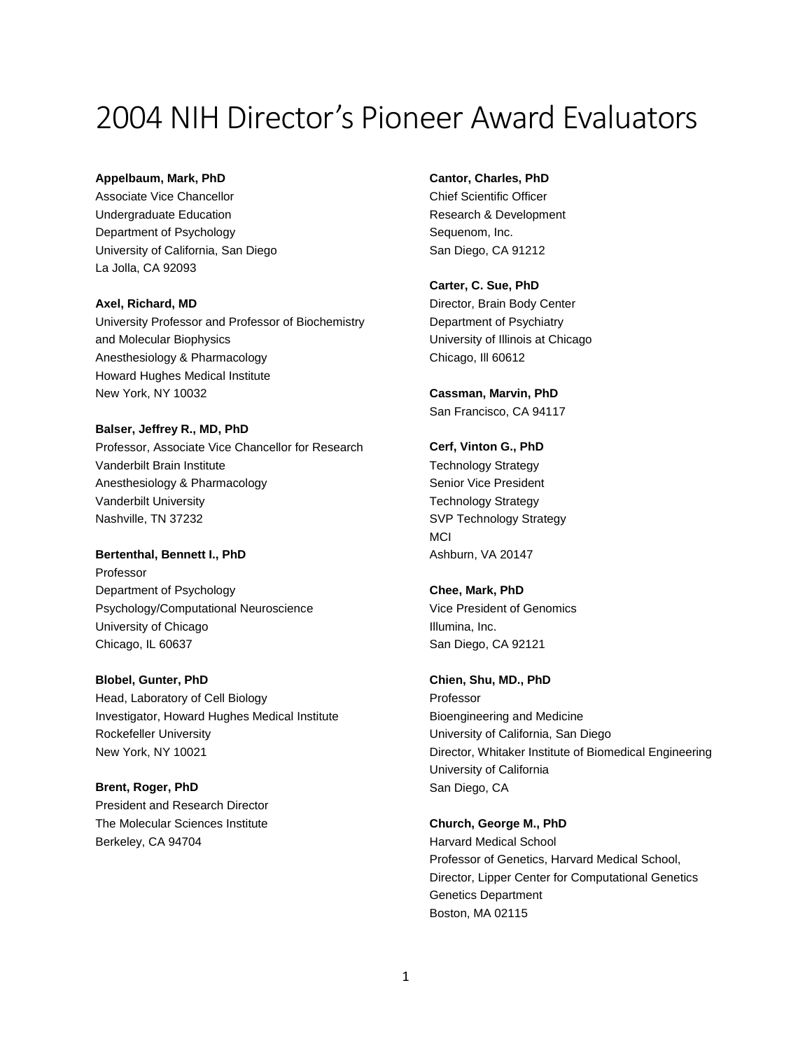# 2004 NIH Director's Pioneer Award Evaluators

#### **Appelbaum, Mark, PhD**

Associate Vice Chancellor Undergraduate Education Department of Psychology University of California, San Diego La Jolla, CA 92093

**Axel, Richard, MD** University Professor and Professor of Biochemistry and Molecular Biophysics Anesthesiology & Pharmacology Howard Hughes Medical Institute New York, NY 10032

**Balser, Jeffrey R., MD, PhD** Professor, Associate Vice Chancellor for Research Vanderbilt Brain Institute Anesthesiology & Pharmacology Vanderbilt University Nashville, TN 37232

**Bertenthal, Bennett I., PhD** Professor Department of Psychology Psychology/Computational Neuroscience University of Chicago Chicago, IL 60637

**Blobel, Gunter, PhD** Head, Laboratory of Cell Biology Investigator, Howard Hughes Medical Institute Rockefeller University New York, NY 10021

**Brent, Roger, PhD** President and Research Director The Molecular Sciences Institute Berkeley, CA 94704

**Cantor, Charles, PhD**

Chief Scientific Officer Research & Development Sequenom, Inc. San Diego, CA 91212

**Carter, C. Sue, PhD** Director, Brain Body Center Department of Psychiatry University of Illinois at Chicago Chicago, Ill 60612

**Cassman, Marvin, PhD** San Francisco, CA 94117

**Cerf, Vinton G., PhD** Technology Strategy Senior Vice President Technology Strategy SVP Technology Strategy MCI Ashburn, VA 20147

**Chee, Mark, PhD** Vice President of Genomics Illumina, Inc. San Diego, CA 92121

#### **Chien, Shu, MD., PhD**

Professor Bioengineering and Medicine University of California, San Diego Director, Whitaker Institute of Biomedical Engineering University of California San Diego, CA

**Church, George M., PhD**

Harvard Medical School Professor of Genetics, Harvard Medical School, Director, Lipper Center for Computational Genetics Genetics Department Boston, MA 02115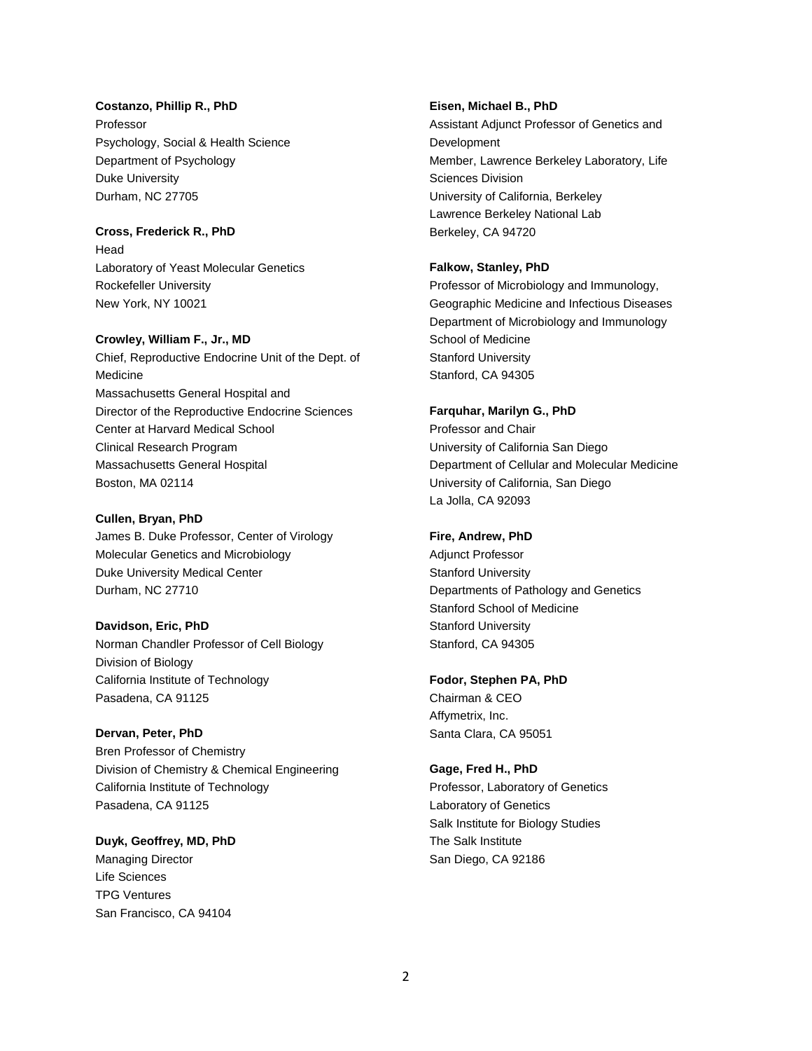#### **Costanzo, Phillip R., PhD**

Professor Psychology, Social & Health Science Department of Psychology Duke University Durham, NC 27705

## **Cross, Frederick R., PhD**

Head Laboratory of Yeast Molecular Genetics Rockefeller University New York, NY 10021

#### **Crowley, William F., Jr., MD**

Chief, Reproductive Endocrine Unit of the Dept. of Medicine Massachusetts General Hospital and Director of the Reproductive Endocrine Sciences Center at Harvard Medical School Clinical Research Program Massachusetts General Hospital Boston, MA 02114

#### **Cullen, Bryan, PhD**

James B. Duke Professor, Center of Virology Molecular Genetics and Microbiology Duke University Medical Center Durham, NC 27710

### **Davidson, Eric, PhD**

Norman Chandler Professor of Cell Biology Division of Biology California Institute of Technology Pasadena, CA 91125

#### **Dervan, Peter, PhD**

Bren Professor of Chemistry Division of Chemistry & Chemical Engineering California Institute of Technology Pasadena, CA 91125

## **Duyk, Geoffrey, MD, PhD** Managing Director Life Sciences TPG Ventures San Francisco, CA 94104

#### **Eisen, Michael B., PhD**

Assistant Adjunct Professor of Genetics and Development Member, Lawrence Berkeley Laboratory, Life Sciences Division University of California, Berkeley Lawrence Berkeley National Lab Berkeley, CA 94720

#### **Falkow, Stanley, PhD**

Professor of Microbiology and Immunology, Geographic Medicine and Infectious Diseases Department of Microbiology and Immunology School of Medicine Stanford University Stanford, CA 94305

#### **Farquhar, Marilyn G., PhD**

Professor and Chair University of California San Diego Department of Cellular and Molecular Medicine University of California, San Diego La Jolla, CA 92093

#### **Fire, Andrew, PhD**

Adjunct Professor Stanford University Departments of Pathology and Genetics Stanford School of Medicine Stanford University Stanford, CA 94305

#### **Fodor, Stephen PA, PhD**

Chairman & CEO Affymetrix, Inc. Santa Clara, CA 95051

#### **Gage, Fred H., PhD**

Professor, Laboratory of Genetics Laboratory of Genetics Salk Institute for Biology Studies The Salk Institute San Diego, CA 92186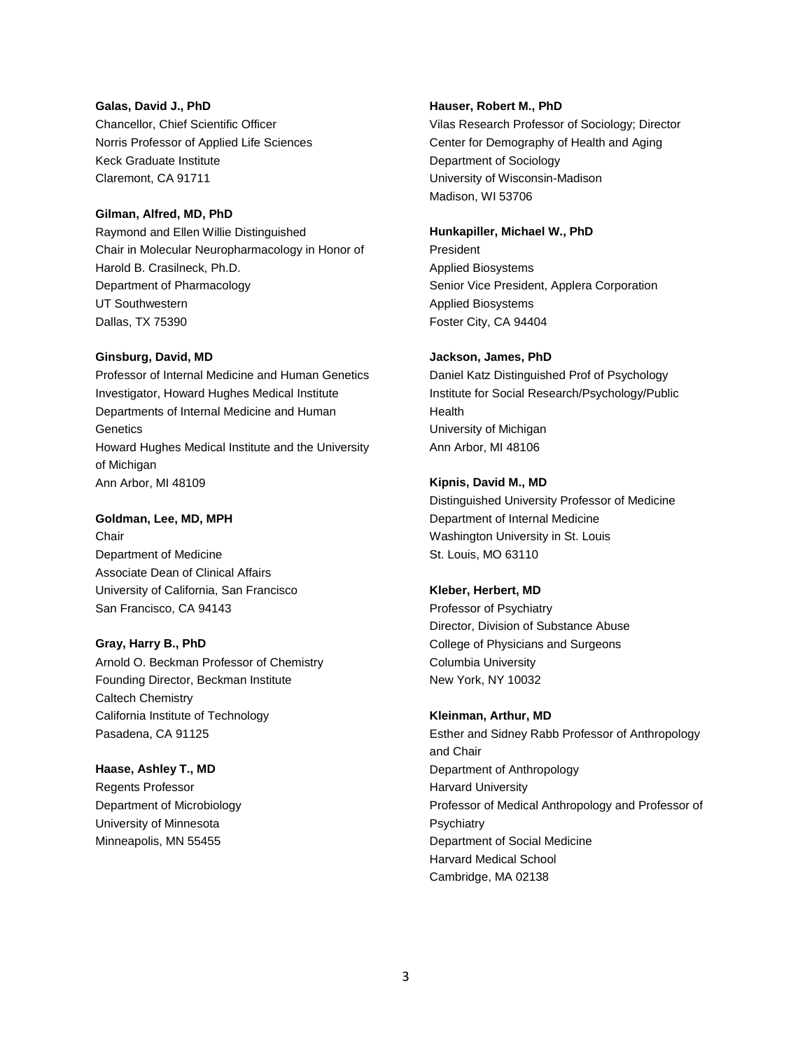## **Galas, David J., PhD** Chancellor, Chief Scientific Officer Norris Professor of Applied Life Sciences Keck Graduate Institute Claremont, CA 91711

#### **Gilman, Alfred, MD, PhD**

Raymond and Ellen Willie Distinguished Chair in Molecular Neuropharmacology in Honor of Harold B. Crasilneck, Ph.D. Department of Pharmacology UT Southwestern Dallas, TX 75390

#### **Ginsburg, David, MD**

Professor of Internal Medicine and Human Genetics Investigator, Howard Hughes Medical Institute Departments of Internal Medicine and Human **Genetics** Howard Hughes Medical Institute and the University of Michigan Ann Arbor, MI 48109

#### **Goldman, Lee, MD, MPH**

**Chair** Department of Medicine Associate Dean of Clinical Affairs University of California, San Francisco San Francisco, CA 94143

#### **Gray, Harry B., PhD**

Arnold O. Beckman Professor of Chemistry Founding Director, Beckman Institute Caltech Chemistry California Institute of Technology Pasadena, CA 91125

#### **Haase, Ashley T., MD**

Regents Professor Department of Microbiology University of Minnesota Minneapolis, MN 55455

#### **Hauser, Robert M., PhD**

Vilas Research Professor of Sociology; Director Center for Demography of Health and Aging Department of Sociology University of Wisconsin-Madison Madison, WI 53706

#### **Hunkapiller, Michael W., PhD**

President Applied Biosystems Senior Vice President, Applera Corporation Applied Biosystems Foster City, CA 94404

#### **Jackson, James, PhD**

Daniel Katz Distinguished Prof of Psychology Institute for Social Research/Psychology/Public Health University of Michigan Ann Arbor, MI 48106

#### **Kipnis, David M., MD**

Distinguished University Professor of Medicine Department of Internal Medicine Washington University in St. Louis St. Louis, MO 63110

#### **Kleber, Herbert, MD**

Professor of Psychiatry Director, Division of Substance Abuse College of Physicians and Surgeons Columbia University New York, NY 10032

#### **Kleinman, Arthur, MD**

Esther and Sidney Rabb Professor of Anthropology and Chair Department of Anthropology Harvard University Professor of Medical Anthropology and Professor of **Psychiatry** Department of Social Medicine Harvard Medical School Cambridge, MA 02138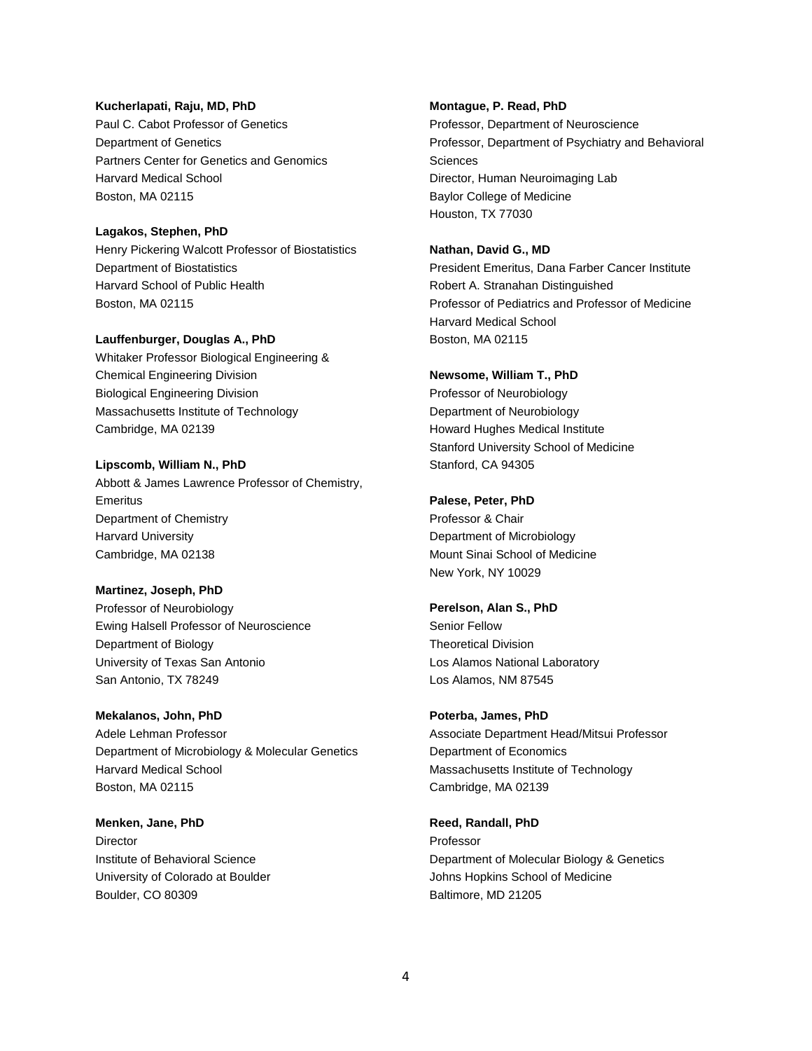#### **Kucherlapati, Raju, MD, PhD**

Paul C. Cabot Professor of Genetics Department of Genetics Partners Center for Genetics and Genomics Harvard Medical School Boston, MA 02115

#### **Lagakos, Stephen, PhD**

Henry Pickering Walcott Professor of Biostatistics Department of Biostatistics Harvard School of Public Health Boston, MA 02115

#### **Lauffenburger, Douglas A., PhD**

Whitaker Professor Biological Engineering & Chemical Engineering Division Biological Engineering Division Massachusetts Institute of Technology Cambridge, MA 02139

#### **Lipscomb, William N., PhD**

Abbott & James Lawrence Professor of Chemistry, **Emeritus** Department of Chemistry Harvard University Cambridge, MA 02138

#### **Martinez, Joseph, PhD**

Professor of Neurobiology Ewing Halsell Professor of Neuroscience Department of Biology University of Texas San Antonio San Antonio, TX 78249

#### **Mekalanos, John, PhD**

Adele Lehman Professor Department of Microbiology & Molecular Genetics Harvard Medical School Boston, MA 02115

## **Menken, Jane, PhD Director** Institute of Behavioral Science University of Colorado at Boulder Boulder, CO 80309

#### **Montague, P. Read, PhD**

Professor, Department of Neuroscience Professor, Department of Psychiatry and Behavioral **Sciences** Director, Human Neuroimaging Lab Baylor College of Medicine Houston, TX 77030

#### **Nathan, David G., MD**

President Emeritus, Dana Farber Cancer Institute Robert A. Stranahan Distinguished Professor of Pediatrics and Professor of Medicine Harvard Medical School Boston, MA 02115

#### **Newsome, William T., PhD**

Professor of Neurobiology Department of Neurobiology Howard Hughes Medical Institute Stanford University School of Medicine Stanford, CA 94305

#### **Palese, Peter, PhD**

Professor & Chair Department of Microbiology Mount Sinai School of Medicine New York, NY 10029

#### **Perelson, Alan S., PhD**

Senior Fellow Theoretical Division Los Alamos National Laboratory Los Alamos, NM 87545

#### **Poterba, James, PhD**

Associate Department Head/Mitsui Professor Department of Economics Massachusetts Institute of Technology Cambridge, MA 02139

#### **Reed, Randall, PhD**

Professor Department of Molecular Biology & Genetics Johns Hopkins School of Medicine Baltimore, MD 21205